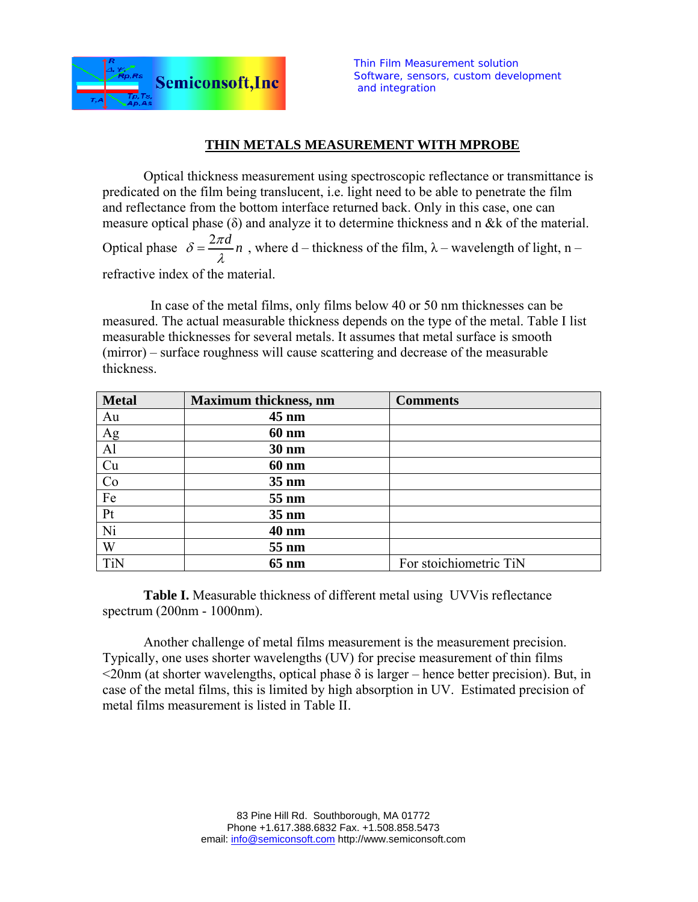

## **THIN METALS MEASUREMENT WITH MPROBE**

Optical thickness measurement using spectroscopic reflectance or transmittance is predicated on the film being translucent, i.e. light need to be able to penetrate the film and reflectance from the bottom interface returned back. Only in this case, one can measure optical phase  $(\delta)$  and analyze it to determine thickness and n &k of the material. Optical phase  $\delta = \frac{2\pi d}{\lambda} n$ , where d – thickness of the film,  $\lambda$  – wavelength of light, n – refractive index of the material.

 In case of the metal films, only films below 40 or 50 nm thicknesses can be measured. The actual measurable thickness depends on the type of the metal. Table I list measurable thicknesses for several metals. It assumes that metal surface is smooth (mirror) – surface roughness will cause scattering and decrease of the measurable thickness.

| <b>Metal</b>    | <b>Maximum thickness, nm</b> | <b>Comments</b>        |
|-----------------|------------------------------|------------------------|
| Au              | $45 \text{ nm}$              |                        |
|                 | <b>60 nm</b>                 |                        |
| $\frac{Ag}{Al}$ | 30 nm                        |                        |
| Cu              | <b>60 nm</b>                 |                        |
| Co              | 35 nm                        |                        |
| Fe              | 55 nm                        |                        |
| Pt              | 35 nm                        |                        |
| Ni              | 40 nm                        |                        |
| W               | 55 nm                        |                        |
| <b>TiN</b>      | $65 \text{ nm}$              | For stoichiometric TiN |

**Table I.** Measurable thickness of different metal using UVVis reflectance spectrum (200nm - 1000nm).

Another challenge of metal films measurement is the measurement precision. Typically, one uses shorter wavelengths (UV) for precise measurement of thin films  $\leq$ 20nm (at shorter wavelengths, optical phase  $\delta$  is larger – hence better precision). But, in case of the metal films, this is limited by high absorption in UV. Estimated precision of metal films measurement is listed in Table II.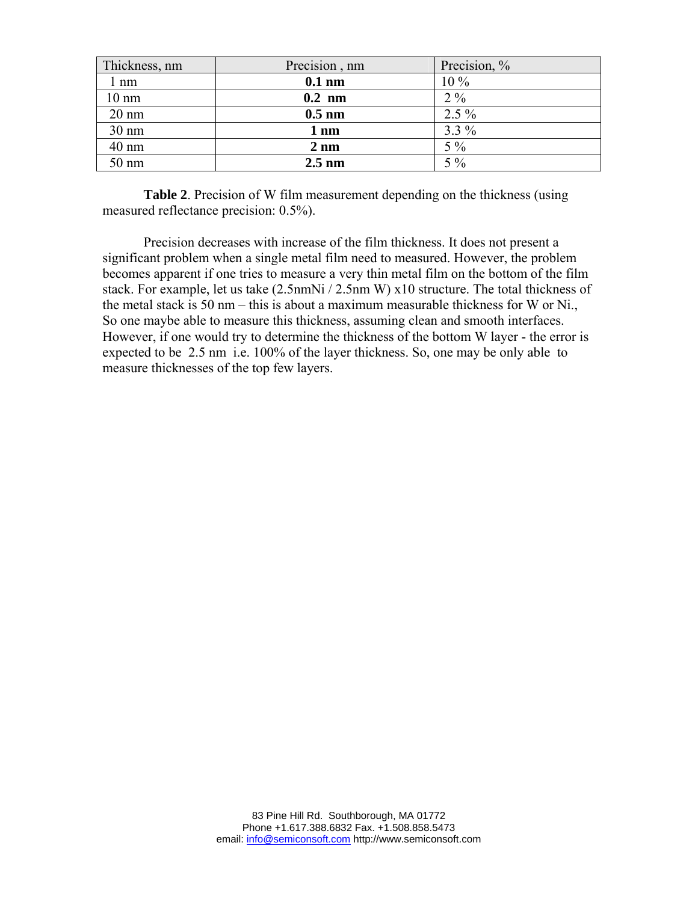| Thickness, nm   | Precision, nm    | Precision, % |
|-----------------|------------------|--------------|
| $1 \text{ nm}$  | $0.1$ nm         | $10\%$       |
| $10 \text{ nm}$ | $0.2 \text{ nm}$ | $2\%$        |
| $20 \text{ nm}$ | $0.5 \text{ nm}$ | $2.5\%$      |
| $30 \text{ nm}$ | $1 \text{ nm}$   | $3.3\%$      |
| 40 nm           | $2 \text{ nm}$   | $5\%$        |
| 50 nm           | $2.5 \text{ nm}$ | $5\%$        |

**Table 2**. Precision of W film measurement depending on the thickness (using measured reflectance precision: 0.5%).

Precision decreases with increase of the film thickness. It does not present a significant problem when a single metal film need to measured. However, the problem becomes apparent if one tries to measure a very thin metal film on the bottom of the film stack. For example, let us take (2.5nmNi / 2.5nm W) x10 structure. The total thickness of the metal stack is 50 nm – this is about a maximum measurable thickness for W or Ni., So one maybe able to measure this thickness, assuming clean and smooth interfaces. However, if one would try to determine the thickness of the bottom W layer - the error is expected to be 2.5 nm i.e. 100% of the layer thickness. So, one may be only able to measure thicknesses of the top few layers.